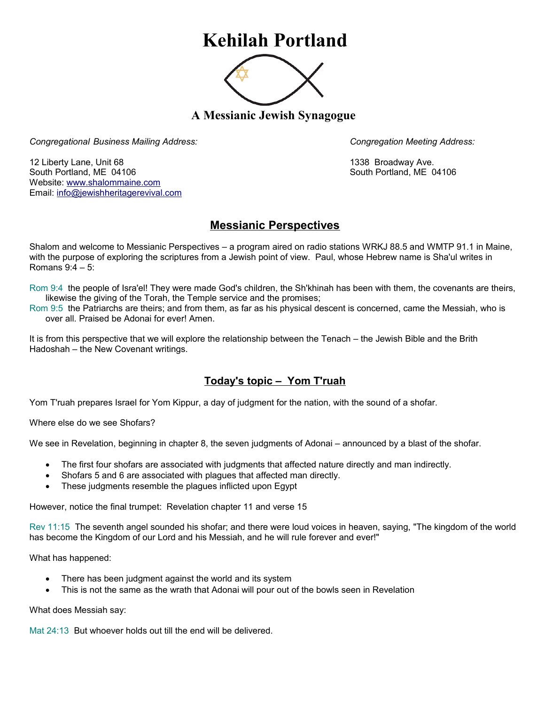## **Kehilah Portland**



**A Messianic Jewish Synagogue** 

*Congregational Business Mailing Address: Congregation Meeting Address:*

12 Liberty Lane, Unit 68 1338 Broadway Ave. South Portland, ME 04106 South Portland, ME 04106 Website: [www.shalommaine.com](http://www.shalommaine.com/) Email: [info@jewishheritagerevival.com](mailto:info@jewishheritagerevival.com) 

## **Messianic Perspectives**

Shalom and welcome to Messianic Perspectives – a program aired on radio stations WRKJ 88.5 and WMTP 91.1 in Maine, with the purpose of exploring the scriptures from a Jewish point of view. Paul, whose Hebrew name is Sha'ul writes in Romans 9:4 – 5:

Rom 9:4 the people of Isra'el! They were made God's children, the Sh'khinah has been with them, the covenants are theirs, likewise the giving of the Torah, the Temple service and the promises;

Rom 9:5 the Patriarchs are theirs; and from them, as far as his physical descent is concerned, came the Messiah, who is over all. Praised be Adonai for ever! Amen.

It is from this perspective that we will explore the relationship between the Tenach – the Jewish Bible and the Brith Hadoshah – the New Covenant writings.

## **Today's topic – Yom T'ruah**

Yom T'ruah prepares Israel for Yom Kippur, a day of judgment for the nation, with the sound of a shofar.

Where else do we see Shofars?

We see in Revelation, beginning in chapter 8, the seven judgments of Adonai – announced by a blast of the shofar.

- The first four shofars are associated with judgments that affected nature directly and man indirectly.
- Shofars 5 and 6 are associated with plagues that affected man directly.
- These judgments resemble the plagues inflicted upon Egypt

However, notice the final trumpet: Revelation chapter 11 and verse 15

Rev 11:15 The seventh angel sounded his shofar; and there were loud voices in heaven, saying, "The kingdom of the world has become the Kingdom of our Lord and his Messiah, and he will rule forever and ever!"

What has happened:

- There has been judgment against the world and its system
- This is not the same as the wrath that Adonai will pour out of the bowls seen in Revelation

What does Messiah say:

Mat 24:13 But whoever holds out till the end will be delivered.